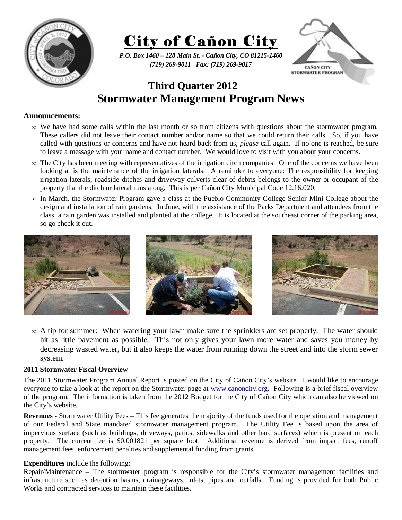



*P.O. Box 1460 – 128 Main St. - Cañon City, CO 81215-1460 (719) 269-9011 Fax: (719) 269-9017* 



# **Third Quarter 2012 Stormwater Management Program News**

## **Announcements:**

- ∞ We have had some calls within the last month or so from citizens with questions about the stormwater program. These callers did not leave their contact number and/or name so that we could return their calls. So, if you have called with questions or concerns and have not heard back from us, *please* call again. If no one is reached, be sure to leave a message with your name and contact number. We would love to visit with you about your concerns.
- $\infty$  The City has been meeting with representatives of the irrigation ditch companies. One of the concerns we have been looking at is the maintenance of the irrigation laterals. A reminder to everyone: The responsibility for keeping irrigation laterals, roadside ditches and driveway culverts clear of debris belongs to the owner or occupant of the property that the ditch or lateral runs along. This is per Cañon City Municipal Code 12.16.020.
- ∞ In March, the Stormwater Program gave a class at the Pueblo Community College Senior Mini-College about the design and installation of rain gardens. In June, with the assistance of the Parks Department and attendees from the class, a rain garden was installed and planted at the college. It is located at the southeast corner of the parking area, so go check it out.



∞ A tip for summer: When watering your lawn make sure the sprinklers are set properly. The water should hit as little pavement as possible. This not only gives your lawn more water and saves you money by decreasing wasted water, but it also keeps the water from running down the street and into the storm sewer system.

#### **2011 Stormwater Fiscal Overview**

The 2011 Stormwater Program Annual Report is posted on the City of Cañon City's website. I would like to encourage everyone to take a look at the report on the Stormwater page at www.canoncity.org. Following is a brief fiscal overview of the program. The information is taken from the 2012 Budget for the City of Cañon City which can also be viewed on the City's website.

**Revenues -** Stormwater Utility Fees – This fee generates the majority of the funds used for the operation and management of our Federal and State mandated stormwater management program. The Utility Fee is based upon the area of impervious surface (such as buildings, driveways, patios, sidewalks and other hard surfaces) which is present on each property. The current fee is \$0.001821 per square foot. Additional revenue is derived from impact fees, runoff management fees, enforcement penalties and supplemental funding from grants.

## **Expenditures** include the following:

Repair/Maintenance – The stormwater program is responsible for the City's stormwater management facilities and infrastructure such as detention basins, drainageways, inlets, pipes and outfalls. Funding is provided for both Public Works and contracted services to maintain these facilities.